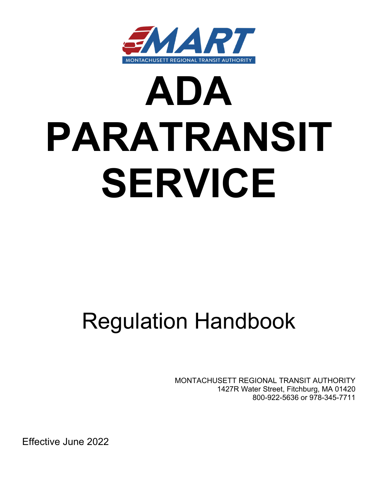

# **ADA PARATRANSIT SERVICE**

# Regulation Handbook

MONTACHUSETT REGIONAL TRANSIT AUTHORITY 1427R Water Street, Fitchburg, MA 01420 800-922-5636 or 978-345-7711

Effective June 2022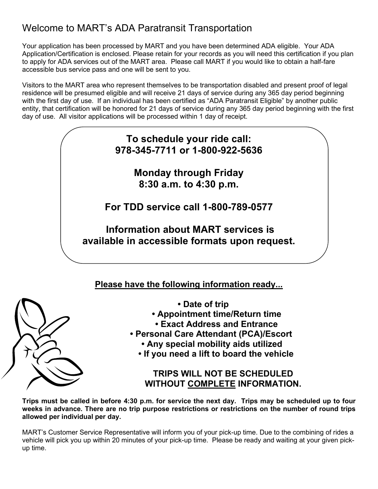# Welcome to MART's ADA Paratransit Transportation

Your application has been processed by MART and you have been determined ADA eligible. Your ADA Application/Certification is enclosed. Please retain for your records as you will need this certification if you plan to apply for ADA services out of the MART area. Please call MART if you would like to obtain a half-fare accessible bus service pass and one will be sent to you.

Visitors to the MART area who represent themselves to be transportation disabled and present proof of legal residence will be presumed eligible and will receive 21 days of service during any 365 day period beginning with the first day of use. If an individual has been certified as "ADA Paratransit Eligible" by another public entity, that certification will be honored for 21 days of service during any 365 day period beginning with the first day of use. All visitor applications will be processed within 1 day of receipt.

# **To schedule your ride call: 978-345-7711 or 1-800-922-5636**

**Monday through Friday 8:30 a.m. to 4:30 p.m.**

**For TDD service call 1-800-789-0577**

**Information about MART services is available in accessible formats upon request.**

# **Please have the following information ready...**



- **Date of trip**
- **Appointment time/Return time**
- **Exact Address and Entrance**
- **Personal Care Attendant (PCA)/Escort**
	- **Any special mobility aids utilized**
	- **If you need a lift to board the vehicle**

**TRIPS WILL NOT BE SCHEDULED WITHOUT COMPLETE INFORMATION.**

**Trips must be called in before 4:30 p.m. for service the next day. Trips may be scheduled up to four weeks in advance. There are no trip purpose restrictions or restrictions on the number of round trips allowed per individual per day.**

MART's Customer Service Representative will inform you of your pick-up time. Due to the combining of rides a vehicle will pick you up within 20 minutes of your pick-up time. Please be ready and waiting at your given pickup time.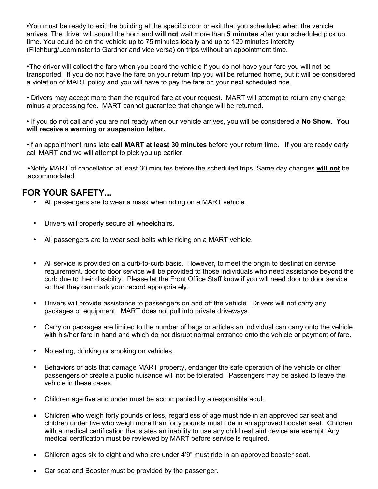•You must be ready to exit the building at the specific door or exit that you scheduled when the vehicle arrives. The driver will sound the horn and **will not** wait more than **5 minutes** after your scheduled pick up time. You could be on the vehicle up to 75 minutes locally and up to 120 minutes Intercity (Fitchburg/Leominster to Gardner and vice versa) on trips without an appointment time.

•The driver will collect the fare when you board the vehicle if you do not have your fare you will not be transported. If you do not have the fare on your return trip you will be returned home, but it will be considered a violation of MART policy and you will have to pay the fare on your next scheduled ride.

• Drivers may accept more than the required fare at your request. MART will attempt to return any change minus a processing fee. MART cannot guarantee that change will be returned.

• If you do not call and you are not ready when our vehicle arrives, you will be considered a **No Show. You will receive a warning or suspension letter.** 

•If an appointment runs late **call MART at least 30 minutes** before your return time. If you are ready early call MART and we will attempt to pick you up earlier.

•Notify MART of cancellation at least 30 minutes before the scheduled trips. Same day changes **will not** be accommodated.

### **FOR YOUR SAFETY...**

- All passengers are to wear a mask when riding on a MART vehicle.
- Drivers will properly secure all wheelchairs.
- All passengers are to wear seat belts while riding on a MART vehicle.
- All service is provided on a curb-to-curb basis. However, to meet the origin to destination service requirement, door to door service will be provided to those individuals who need assistance beyond the curb due to their disability. Please let the Front Office Staff know if you will need door to door service so that they can mark your record appropriately.
- Drivers will provide assistance to passengers on and off the vehicle. Drivers will not carry any packages or equipment. MART does not pull into private driveways.
- Carry on packages are limited to the number of bags or articles an individual can carry onto the vehicle with his/her fare in hand and which do not disrupt normal entrance onto the vehicle or payment of fare.
- No eating, drinking or smoking on vehicles.
- Behaviors or acts that damage MART property, endanger the safe operation of the vehicle or other passengers or create a public nuisance will not be tolerated. Passengers may be asked to leave the vehicle in these cases.
- Children age five and under must be accompanied by a responsible adult.
- Children who weigh forty pounds or less, regardless of age must ride in an approved car seat and children under five who weigh more than forty pounds must ride in an approved booster seat. Children with a medical certification that states an inability to use any child restraint device are exempt. Any medical certification must be reviewed by MART before service is required.
- Children ages six to eight and who are under 4'9" must ride in an approved booster seat.
- Car seat and Booster must be provided by the passenger.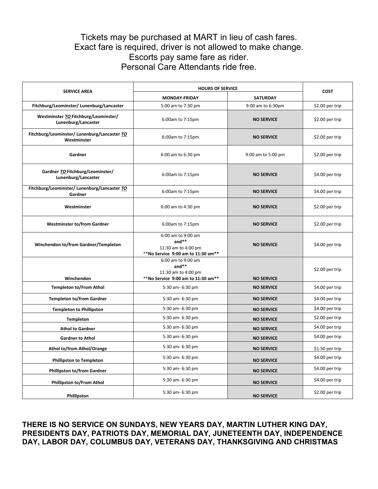## Tickets may be purchased at MART in lieu of cash fares. Exact fare is required, driver is not allowed to make change. Escorts pay same fare as rider. Personal Care Attendants ride free.

| <b>SERVICE AREA</b>                                         | <b>HOURS OF SERVICE</b>                                                                    |                    | <b>COST</b>     |
|-------------------------------------------------------------|--------------------------------------------------------------------------------------------|--------------------|-----------------|
|                                                             | <b>MONDAY-FRIDAY</b>                                                                       | <b>SATURDAY</b>    |                 |
| Fitchburg/Leominster/Lunenburg/Lancaster                    | 5:00 am to 7:30 pm                                                                         | 9:00 am to 6:30pm  | \$2.00 per trip |
| Westminster TO Fitchburg/Leominster/<br>Lunenburg/Lancaster | 6:00am to 7:15pm                                                                           | <b>NO SERVICE</b>  | \$2.00 per trip |
| Fitchburg/Leominster/ Lunenburg/Lancaster TO<br>Westminster | 6:00am to 7:15pm                                                                           | <b>NO SERVICE</b>  | \$2.00 per trip |
| Gardner                                                     | 6:00 am to 6:30 pm                                                                         | 9:00 am to 5:00 pm | \$2.00 per trip |
| Gardner TO Fitchburg/Leominster/<br>Lunenburg/Lancaster     | 6:00am to 7:15pm                                                                           | <b>NO SERVICE</b>  | \$4.00 per trip |
| Fitchburg/Leominster/ Lunenburg/Lancaster TO<br>Gardner     | 6:00am to 7:15pm                                                                           | <b>NO SERVICE</b>  | \$4.00 per trip |
| Westminster                                                 | 6:00 am to 4:30 pm                                                                         | <b>NO SERVICE</b>  | \$2.00 per trip |
| <b>Westminster to/from Gardner</b>                          | 6:00am to 7:15pm                                                                           | <b>NO SERVICE</b>  | \$2.00 per trip |
| Winchendon to/from Gardner/Templeton                        | 6:00 am to 9:00 am<br>$and**$<br>11:30 am to 4:00 pm<br>**No Service 9:00 am to 11:30 am** | <b>NO SERVICE</b>  | \$4.00 per trip |
| Winchendon                                                  | 6:00 am to 9:00 am<br>$and**$<br>11:30 am to 4:00 pm<br>**No Service 9:00 am to 11:30 am** | <b>NO SERVICE</b>  | \$2.00 per trip |
| <b>Templeton to/From Athol</b>                              | 5:30 am- 6:30 pm                                                                           | <b>NO SERVICE</b>  | \$4.00 per trip |
| <b>Templeton to/from Gardner</b>                            | 5:30 am- 6:30 pm                                                                           | <b>NO SERVICE</b>  | \$4.00 per trip |
| <b>Templeton to Phillipston</b>                             | 5:30 am- 6:30 pm                                                                           | <b>NO SERVICE</b>  | \$4.00 per trip |
| <b>Templeton</b>                                            | 5:30 am- 6:30 pm                                                                           | <b>NO SERVICE</b>  | \$2.00 per trip |
| <b>Athol to Gardner</b>                                     | 5:30 am- 6:30 pm                                                                           | <b>NO SERVICE</b>  | \$4.00 per trip |
| <b>Gardner to Athol</b>                                     | 5:30 am- 6:30 pm                                                                           | <b>NO SERVICE</b>  | \$4.00 per trip |
| Athol to/from Athol/Orange                                  | 5:30 am- 6:30 pm                                                                           | <b>NO SERVICE</b>  | \$1.50 per trip |
| <b>Phillipston to Templeton</b>                             | 5:30 am- 6:30 pm                                                                           | <b>NO SERVICE</b>  | \$4.00 per trip |
| <b>Phillipston to/from Gardner</b>                          | 5:30 am- 6:30 pm                                                                           | <b>NO SERVICE</b>  | \$4.00 per trip |
| Phillipston to/From Athol                                   | 5:30 am- 6:30 pm                                                                           | <b>NO SERVICE</b>  | \$4.00 per trip |
| Phillipston                                                 | 5:30 am- 6:30 pm                                                                           | <b>NO SERVICE</b>  | \$2.00 per trip |

**THERE IS NO SERVICE ON SUNDAYS, NEW YEARS DAY, MARTIN LUTHER KING DAY, PRESIDENTS DAY, PATRIOTS DAY, MEMORIAL DAY, JUNETEENTH DAY, INDEPENDENCE DAY, LABOR DAY, COLUMBUS DAY, VETERANS DAY, THANKSGIVING AND CHRISTMAS**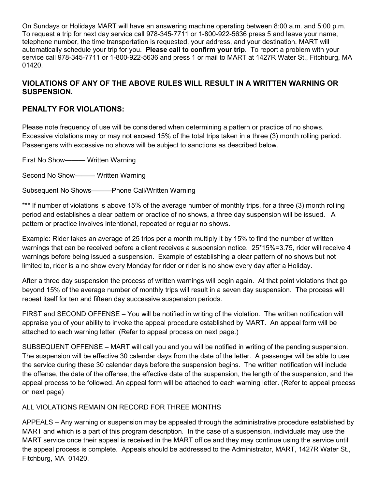On Sundays or Holidays MART will have an answering machine operating between 8:00 a.m. and 5:00 p.m. To request a trip for next day service call 978-345-7711 or 1-800-922-5636 press 5 and leave your name, telephone number, the time transportation is requested, your address, and your destination. MART will automatically schedule your trip for you. **Please call to confirm your trip**. To report a problem with your service call 978-345-7711 or 1-800-922-5636 and press 1 or mail to MART at 1427R Water St., Fitchburg, MA 01420.

#### **VIOLATIONS OF ANY OF THE ABOVE RULES WILL RESULT IN A WRITTEN WARNING OR SUSPENSION.**

#### **PENALTY FOR VIOLATIONS:**

Please note frequency of use will be considered when determining a pattern or practice of no shows. Excessive violations may or may not exceed 15% of the total trips taken in a three (3) month rolling period. Passengers with excessive no shows will be subject to sanctions as described below.

First No Show——— Written Warning

Second No Show——— Written Warning

Subsequent No Shows———Phone Call/Written Warning

\*\*\* If number of violations is above 15% of the average number of monthly trips, for a three (3) month rolling period and establishes a clear pattern or practice of no shows, a three day suspension will be issued. A pattern or practice involves intentional, repeated or regular no shows.

Example: Rider takes an average of 25 trips per a month multiply it by 15% to find the number of written warnings that can be received before a client receives a suspension notice. 25\*15%=3.75, rider will receive 4 warnings before being issued a suspension. Example of establishing a clear pattern of no shows but not limited to, rider is a no show every Monday for rider or rider is no show every day after a Holiday.

After a three day suspension the process of written warnings will begin again. At that point violations that go beyond 15% of the average number of monthly trips will result in a seven day suspension. The process will repeat itself for ten and fifteen day successive suspension periods.

FIRST and SECOND OFFENSE – You will be notified in writing of the violation. The written notification will appraise you of your ability to invoke the appeal procedure established by MART. An appeal form will be attached to each warning letter. (Refer to appeal process on next page.)

SUBSEQUENT OFFENSE – MART will call you and you will be notified in writing of the pending suspension. The suspension will be effective 30 calendar days from the date of the letter. A passenger will be able to use the service during these 30 calendar days before the suspension begins. The written notification will include the offense, the date of the offense, the effective date of the suspension, the length of the suspension, and the appeal process to be followed. An appeal form will be attached to each warning letter. (Refer to appeal process on next page)

#### ALL VIOLATIONS REMAIN ON RECORD FOR THREE MONTHS

APPEALS – Any warning or suspension may be appealed through the administrative procedure established by MART and which is a part of this program description. In the case of a suspension, individuals may use the MART service once their appeal is received in the MART office and they may continue using the service until the appeal process is complete. Appeals should be addressed to the Administrator, MART, 1427R Water St., Fitchburg, MA 01420.